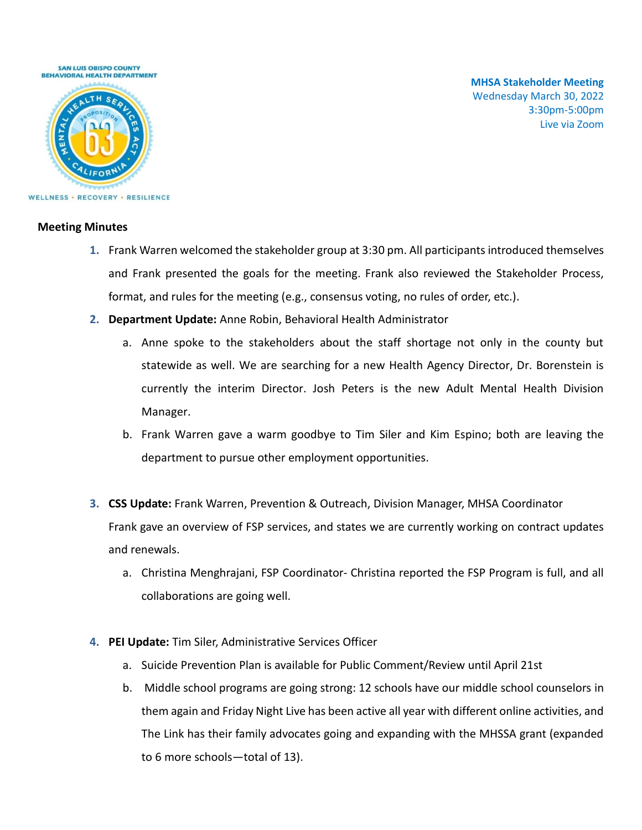

**MHSA Stakeholder Meeting** Wednesday March 30, 2022 3:30pm-5:00pm Live via Zoom

### **Meeting Minutes**

- **1.** Frank Warren welcomed the stakeholder group at 3:30 pm. All participants introduced themselves and Frank presented the goals for the meeting. Frank also reviewed the Stakeholder Process, format, and rules for the meeting (e.g., consensus voting, no rules of order, etc.).
- **2. Department Update:** Anne Robin, Behavioral Health Administrator
	- a. Anne spoke to the stakeholders about the staff shortage not only in the county but statewide as well. We are searching for a new Health Agency Director, Dr. Borenstein is currently the interim Director. Josh Peters is the new Adult Mental Health Division Manager.
	- b. Frank Warren gave a warm goodbye to Tim Siler and Kim Espino; both are leaving the department to pursue other employment opportunities.
- **3. CSS Update:** Frank Warren, Prevention & Outreach, Division Manager, MHSA Coordinator Frank gave an overview of FSP services, and states we are currently working on contract updates and renewals.
	- a. Christina Menghrajani, FSP Coordinator- Christina reported the FSP Program is full, and all collaborations are going well.
- **4. PEI Update:** Tim Siler, Administrative Services Officer
	- a. Suicide Prevention Plan is available for Public Comment/Review until April 21st
	- b. Middle school programs are going strong: 12 schools have our middle school counselors in them again and Friday Night Live has been active all year with different online activities, and The Link has their family advocates going and expanding with the MHSSA grant (expanded to 6 more schools—total of 13).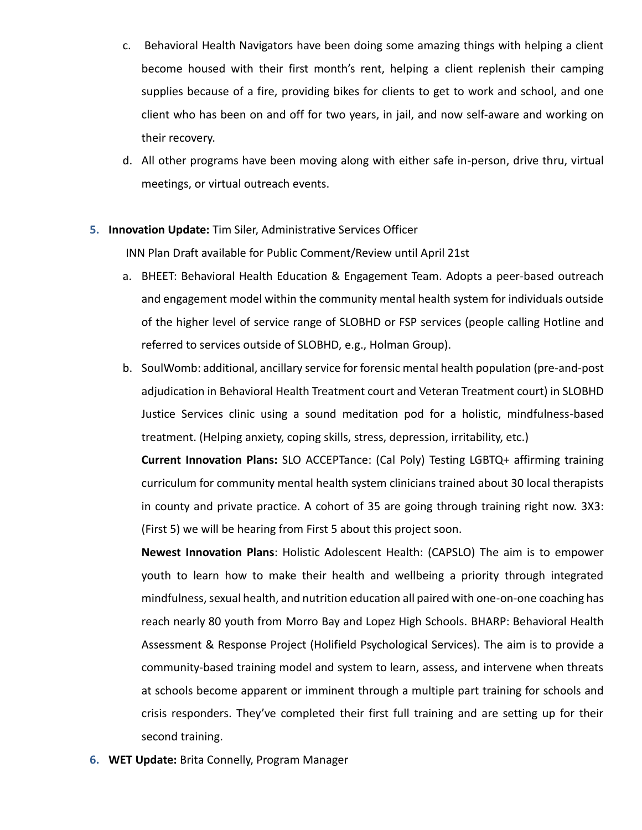- c. Behavioral Health Navigators have been doing some amazing things with helping a client become housed with their first month's rent, helping a client replenish their camping supplies because of a fire, providing bikes for clients to get to work and school, and one client who has been on and off for two years, in jail, and now self-aware and working on their recovery.
- d. All other programs have been moving along with either safe in-person, drive thru, virtual meetings, or virtual outreach events.

## **5. Innovation Update:** Tim Siler, Administrative Services Officer

INN Plan Draft available for Public Comment/Review until April 21st

- a. BHEET: Behavioral Health Education & Engagement Team. Adopts a peer-based outreach and engagement model within the community mental health system for individuals outside of the higher level of service range of SLOBHD or FSP services (people calling Hotline and referred to services outside of SLOBHD, e.g., Holman Group).
- b. SoulWomb: additional, ancillary service for forensic mental health population (pre-and-post adjudication in Behavioral Health Treatment court and Veteran Treatment court) in SLOBHD Justice Services clinic using a sound meditation pod for a holistic, mindfulness-based treatment. (Helping anxiety, coping skills, stress, depression, irritability, etc.)

**Current Innovation Plans:** SLO ACCEPTance: (Cal Poly) Testing LGBTQ+ affirming training curriculum for community mental health system clinicians trained about 30 local therapists in county and private practice. A cohort of 35 are going through training right now. 3X3: (First 5) we will be hearing from First 5 about this project soon.

**Newest Innovation Plans**: Holistic Adolescent Health: (CAPSLO) The aim is to empower youth to learn how to make their health and wellbeing a priority through integrated mindfulness, sexual health, and nutrition education all paired with one-on-one coaching has reach nearly 80 youth from Morro Bay and Lopez High Schools. BHARP: Behavioral Health Assessment & Response Project (Holifield Psychological Services). The aim is to provide a community-based training model and system to learn, assess, and intervene when threats at schools become apparent or imminent through a multiple part training for schools and crisis responders. They've completed their first full training and are setting up for their second training.

**6. WET Update:** Brita Connelly, Program Manager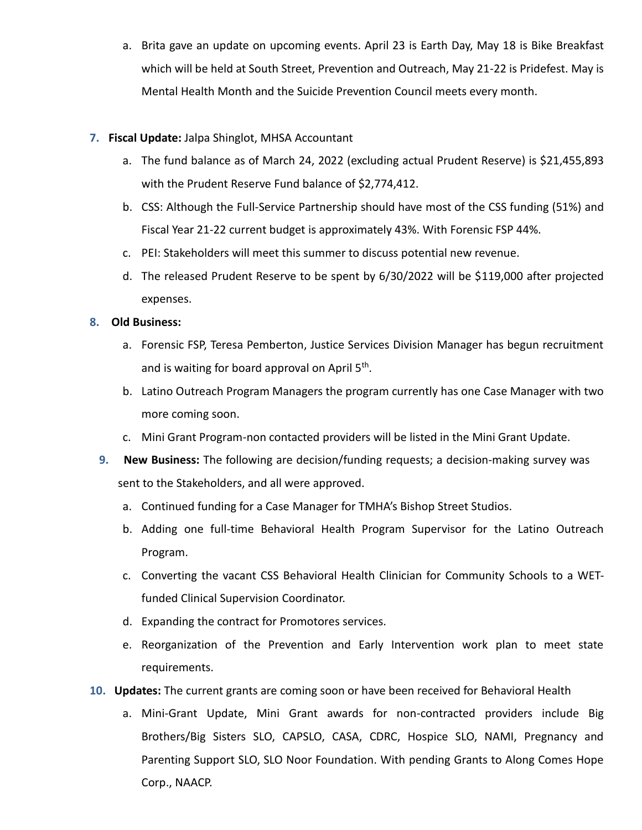a. Brita gave an update on upcoming events. April 23 is Earth Day, May 18 is Bike Breakfast which will be held at South Street, Prevention and Outreach, May 21-22 is Pridefest. May is Mental Health Month and the Suicide Prevention Council meets every month.

# **7. Fiscal Update:** Jalpa Shinglot, MHSA Accountant

- a. The fund balance as of March 24, 2022 (excluding actual Prudent Reserve) is \$21,455,893 with the Prudent Reserve Fund balance of \$2,774,412.
- b. CSS: Although the Full-Service Partnership should have most of the CSS funding (51%) and Fiscal Year 21-22 current budget is approximately 43%. With Forensic FSP 44%.
- c. PEI: Stakeholders will meet this summer to discuss potential new revenue.
- d. The released Prudent Reserve to be spent by 6/30/2022 will be \$119,000 after projected expenses.

# **8. Old Business:**

- a. Forensic FSP, Teresa Pemberton, Justice Services Division Manager has begun recruitment and is waiting for board approval on April 5<sup>th</sup>.
- b. Latino Outreach Program Managers the program currently has one Case Manager with two more coming soon.
- c. Mini Grant Program-non contacted providers will be listed in the Mini Grant Update.
- **9. New Business:** The following are decision/funding requests; a decision-making survey was sent to the Stakeholders, and all were approved.
	- a. Continued funding for a Case Manager for TMHA's Bishop Street Studios.
	- b. Adding one full-time Behavioral Health Program Supervisor for the Latino Outreach Program.
	- c. Converting the vacant CSS Behavioral Health Clinician for Community Schools to a WETfunded Clinical Supervision Coordinator.
	- d. Expanding the contract for Promotores services.
	- e. Reorganization of the Prevention and Early Intervention work plan to meet state requirements.
- **10. Updates:** The current grants are coming soon or have been received for Behavioral Health
	- a. Mini-Grant Update, Mini Grant awards for non-contracted providers include Big Brothers/Big Sisters SLO, CAPSLO, CASA, CDRC, Hospice SLO, NAMI, Pregnancy and Parenting Support SLO, SLO Noor Foundation. With pending Grants to Along Comes Hope Corp., NAACP.